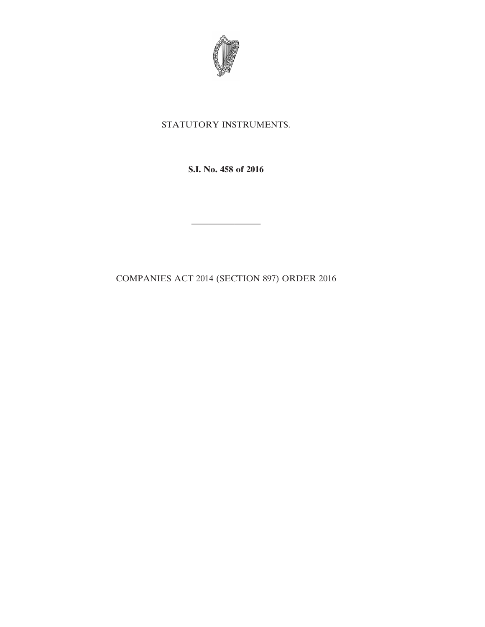

## STATUTORY INSTRUMENTS.

**S.I. No. 458 of 2016**

————————

COMPANIES ACT 2014 (SECTION 897) ORDER 2016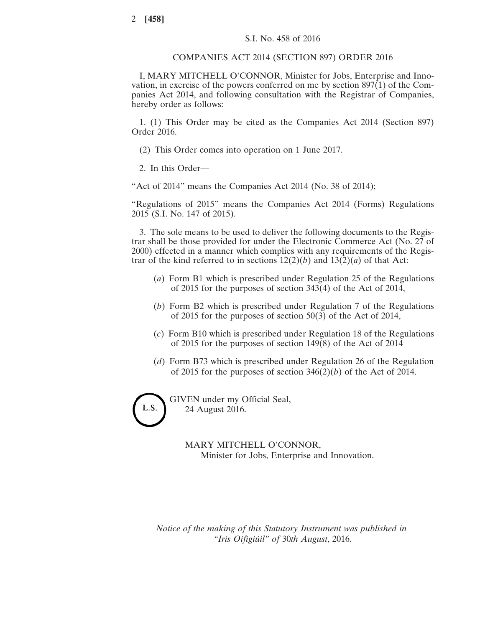## COMPANIES ACT 2014 (SECTION 897) ORDER 2016

I, MARY MITCHELL O'CONNOR, Minister for Jobs, Enterprise and Innovation, in exercise of the powers conferred on me by section 897(1) of the Companies Act 2014, and following consultation with the Registrar of Companies, hereby order as follows:

1. (1) This Order may be cited as the Companies Act 2014 (Section 897) Order 2016.

(2) This Order comes into operation on 1 June 2017.

2. In this Order—

"Act of 2014" means the Companies Act 2014 (No. 38 of 2014);

"Regulations of 2015" means the Companies Act 2014 (Forms) Regulations 2015 (S.I. No. 147 of 2015).

3. The sole means to be used to deliver the following documents to the Registrar shall be those provided for under the Electronic Commerce Act (No. 27 of 2000) effected in a manner which complies with any requirements of the Registrar of the kind referred to in sections  $12(2)(b)$  and  $13(2)(a)$  of that Act:

- (*a*) Form B1 which is prescribed under Regulation 25 of the Regulations of 2015 for the purposes of section 343(4) of the Act of 2014,
- (*b*) Form B2 which is prescribed under Regulation 7 of the Regulations of 2015 for the purposes of section 50(3) of the Act of 2014,
- (*c*) Form B10 which is prescribed under Regulation 18 of the Regulations of 2015 for the purposes of section 149(8) of the Act of 2014
- (*d*) Form B73 which is prescribed under Regulation 26 of the Regulation of 2015 for the purposes of section 346(2)(*b*) of the Act of 2014.

L.S.

GIVEN under my Official Seal, 24 August 2016.

> MARY MITCHELL O'CONNOR, Minister for Jobs, Enterprise and Innovation.

*Notice of the making of this Statutory Instrument was published in "Iris Oifigiúil" of* 30*th August*, 2016.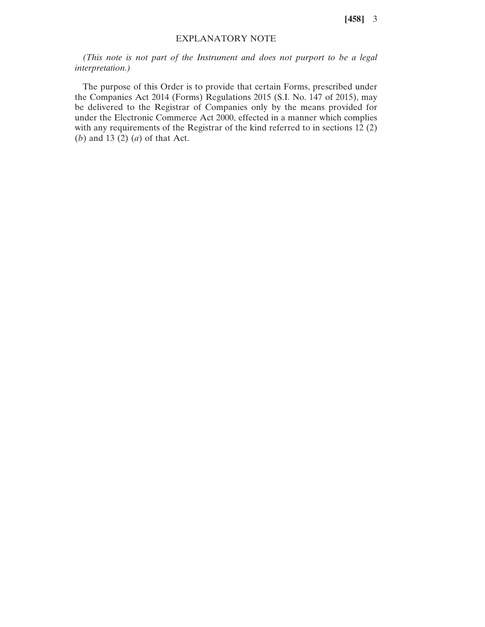**[458]** 3

## EXPLANATORY NOTE

*(This note is not part of the Instrument and does not purport to be a legal interpretation.)*

The purpose of this Order is to provide that certain Forms, prescribed under the Companies Act 2014 (Forms) Regulations 2015 (S.I. No. 147 of 2015), may be delivered to the Registrar of Companies only by the means provided for under the Electronic Commerce Act 2000, effected in a manner which complies with any requirements of the Registrar of the kind referred to in sections 12 (2) (*b*) and 13 (2) (*a*) of that Act.